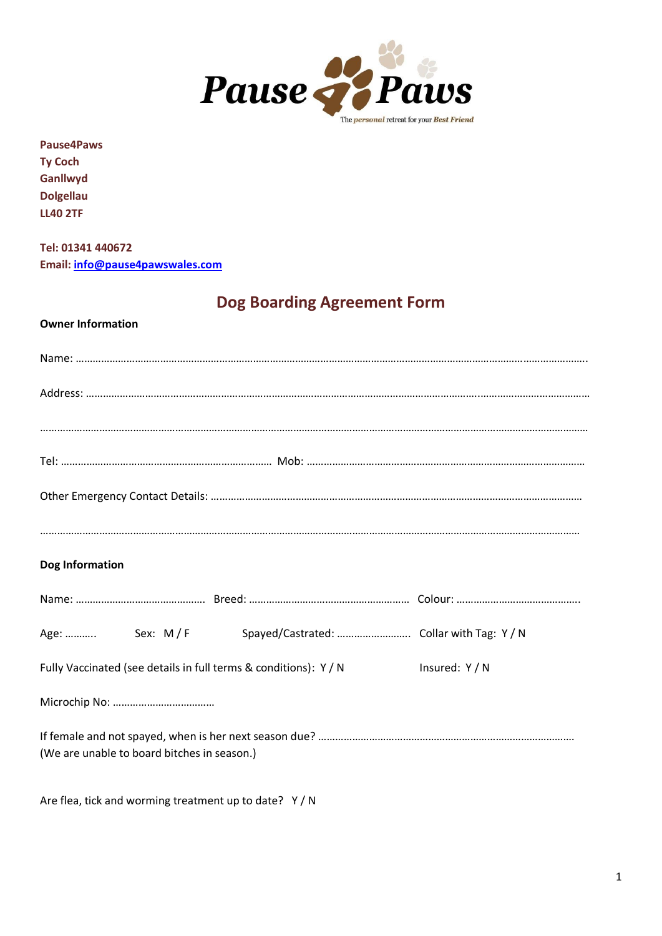

**Pause4Paws**

**Ty Coch Ganllwyd Dolgellau LL40 2TF**

**Tel: 01341 440672 Email[: info@pause4pawswales.com](mailto:info@pause4pawswales.com)**

# **Dog Boarding Agreement Form**

# **Owner Information**

| Dog Information                                                  |                |
|------------------------------------------------------------------|----------------|
|                                                                  |                |
|                                                                  |                |
| Fully Vaccinated (see details in full terms & conditions): Y / N | Insured: Y / N |
|                                                                  |                |
| (We are unable to board bitches in season.)                      |                |

Are flea, tick and worming treatment up to date? Y / N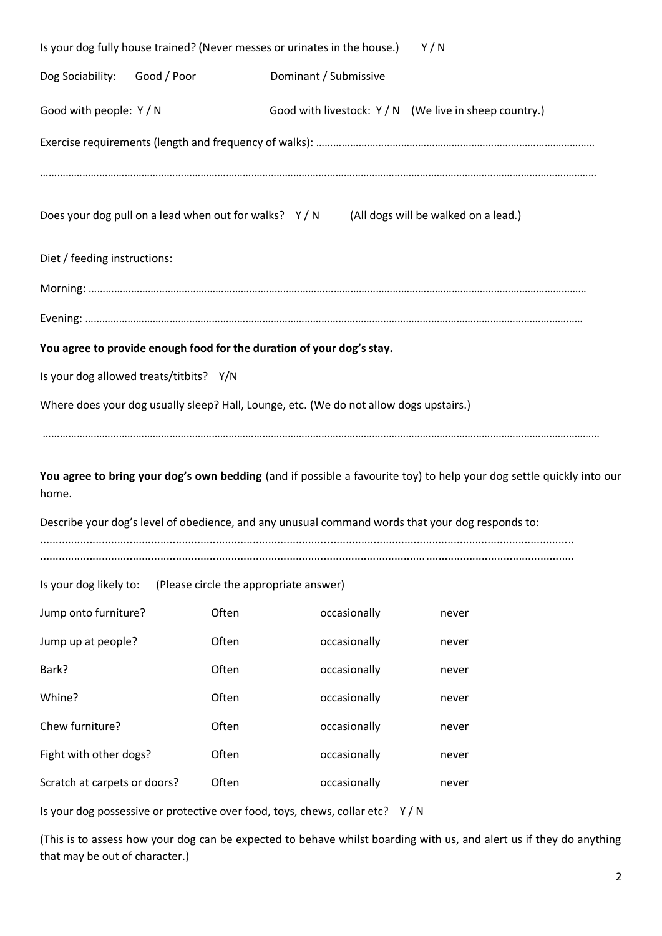| Is your dog fully house trained? (Never messes or urinates in the house.)<br>Y/N |  |                                                                                        |                       |                                                                                                                      |  |
|----------------------------------------------------------------------------------|--|----------------------------------------------------------------------------------------|-----------------------|----------------------------------------------------------------------------------------------------------------------|--|
| Dog Sociability: Good / Poor                                                     |  |                                                                                        | Dominant / Submissive |                                                                                                                      |  |
| Good with people: Y / N                                                          |  |                                                                                        |                       | Good with livestock: Y / N (We live in sheep country.)                                                               |  |
|                                                                                  |  |                                                                                        |                       |                                                                                                                      |  |
|                                                                                  |  |                                                                                        |                       |                                                                                                                      |  |
|                                                                                  |  |                                                                                        |                       | Does your dog pull on a lead when out for walks? Y/N (All dogs will be walked on a lead.)                            |  |
| Diet / feeding instructions:                                                     |  |                                                                                        |                       |                                                                                                                      |  |
|                                                                                  |  |                                                                                        |                       |                                                                                                                      |  |
|                                                                                  |  |                                                                                        |                       |                                                                                                                      |  |
|                                                                                  |  | You agree to provide enough food for the duration of your dog's stay.                  |                       |                                                                                                                      |  |
| Is your dog allowed treats/titbits? Y/N                                          |  |                                                                                        |                       |                                                                                                                      |  |
|                                                                                  |  | Where does your dog usually sleep? Hall, Lounge, etc. (We do not allow dogs upstairs.) |                       |                                                                                                                      |  |
|                                                                                  |  |                                                                                        |                       |                                                                                                                      |  |
| home.                                                                            |  |                                                                                        |                       | You agree to bring your dog's own bedding (and if possible a favourite toy) to help your dog settle quickly into our |  |
|                                                                                  |  |                                                                                        |                       | Describe your dog's level of obedience, and any unusual command words that your dog responds to:                     |  |
|                                                                                  |  |                                                                                        |                       |                                                                                                                      |  |
| Is your dog likely to:                                                           |  | (Please circle the appropriate answer)                                                 |                       |                                                                                                                      |  |
| Jump onto furniture?                                                             |  | Often                                                                                  | occasionally          | never                                                                                                                |  |
| Jump up at people?                                                               |  | Often                                                                                  | occasionally          | never                                                                                                                |  |
| Bark?                                                                            |  | Often                                                                                  | occasionally          | never                                                                                                                |  |
| Whine?                                                                           |  | Often                                                                                  | occasionally          | never                                                                                                                |  |
| Chew furniture?                                                                  |  | Often                                                                                  | occasionally          | never                                                                                                                |  |
| Fight with other dogs?                                                           |  | Often                                                                                  | occasionally          | never                                                                                                                |  |
| Scratch at carpets or doors?                                                     |  | Often                                                                                  | occasionally          | never                                                                                                                |  |
|                                                                                  |  | Is your dog possessive or protective over food, toys, chews, collar etc? Y/N           |                       |                                                                                                                      |  |

(This is to assess how your dog can be expected to behave whilst boarding with us, and alert us if they do anything that may be out of character.)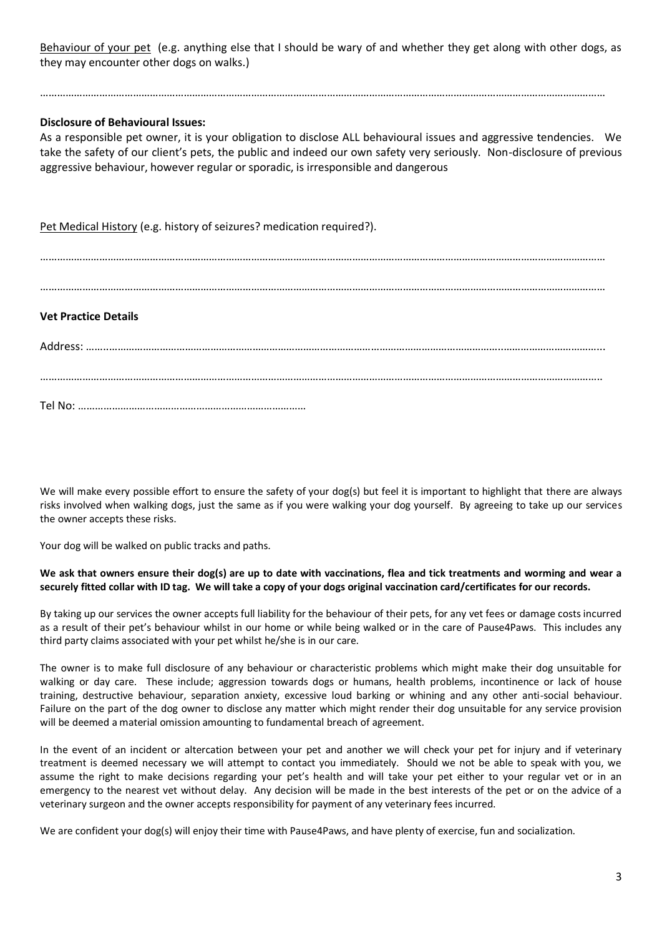Behaviour of your pet (e.g. anything else that I should be wary of and whether they get along with other dogs, as they may encounter other dogs on walks.)

…………………………………………………………………………………………………………………………………………………………………………………

## **Disclosure of Behavioural Issues:**

As a responsible pet owner, it is your obligation to disclose ALL behavioural issues and aggressive tendencies. We take the safety of our client's pets, the public and indeed our own safety very seriously. Non-disclosure of previous aggressive behaviour, however regular or sporadic, is irresponsible and dangerous

Pet Medical History (e.g. history of seizures? medication required?).

…………………………………………………………………………………………………………………………………………………………………………………

…………………………………………………………………………………………………………………………………………………………………………………

## **Vet Practice Details**

Address: ……..…………………………………………………………………………………………………………………………..……………………………... ………………………………………………………………………………………………………………………………………………………………………………..

Tel No: ………………………………………………………………………

We will make every possible effort to ensure the safety of your dog(s) but feel it is important to highlight that there are always risks involved when walking dogs, just the same as if you were walking your dog yourself. By agreeing to take up our services the owner accepts these risks.

Your dog will be walked on public tracks and paths.

#### **We ask that owners ensure their dog(s) are up to date with vaccinations, flea and tick treatments and worming and wear a securely fitted collar with ID tag. We will take a copy of your dogs original vaccination card/certificates for our records.**

By taking up our services the owner accepts full liability for the behaviour of their pets, for any vet fees or damage costs incurred as a result of their pet's behaviour whilst in our home or while being walked or in the care of Pause4Paws. This includes any third party claims associated with your pet whilst he/she is in our care.

The owner is to make full disclosure of any behaviour or characteristic problems which might make their dog unsuitable for walking or day care. These include; aggression towards dogs or humans, health problems, incontinence or lack of house training, destructive behaviour, separation anxiety, excessive loud barking or whining and any other anti-social behaviour. Failure on the part of the dog owner to disclose any matter which might render their dog unsuitable for any service provision will be deemed a material omission amounting to fundamental breach of agreement.

In the event of an incident or altercation between your pet and another we will check your pet for injury and if veterinary treatment is deemed necessary we will attempt to contact you immediately. Should we not be able to speak with you, we assume the right to make decisions regarding your pet's health and will take your pet either to your regular vet or in an emergency to the nearest vet without delay. Any decision will be made in the best interests of the pet or on the advice of a veterinary surgeon and the owner accepts responsibility for payment of any veterinary fees incurred.

We are confident your dog(s) will enjoy their time with Pause4Paws, and have plenty of exercise, fun and socialization.